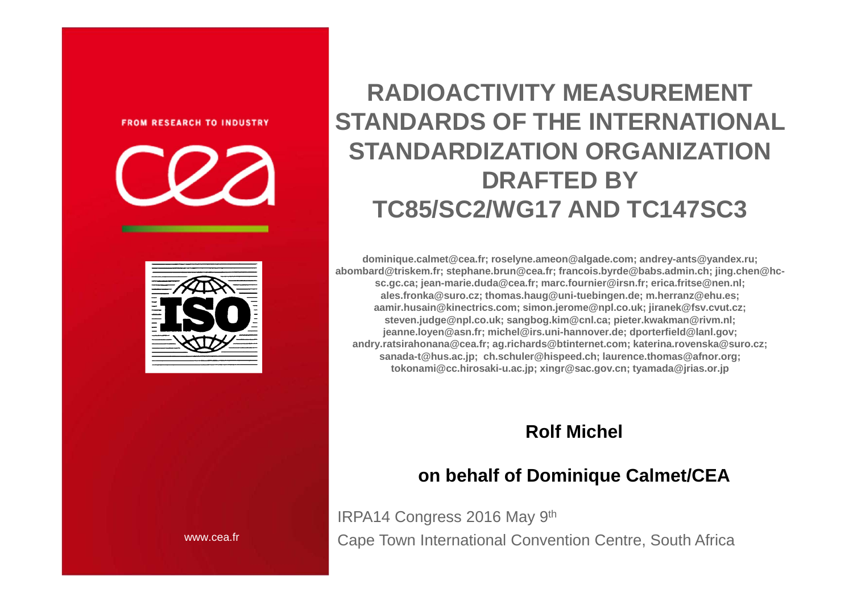#### **FROM RESEARCH TO INDUSTRY**



**RADIOACTIVITY MEASUREMENT STANDARDS OF THE INTERNATIONAL STANDARDIZATION ORGANIZATIONDRAFTED BYTC85/SC2/WG17 AND TC147SC3**

**dominique.calmet@cea.fr; roselyne.ameon@algade.com; andrey-ants@yandex.ru; abombard@triskem.fr; stephane.brun@cea.fr; francois.byrde@babs.admin.ch; jing.chen@hcsc.gc.ca; jean-marie.duda@cea.fr; marc.fournier@irsn.fr; erica.fritse@nen.nl; ales.fronka@suro.cz; thomas.haug@uni-tuebingen.de; m.herranz@ehu.es; aamir.husain@kinectrics.com; simon.jerome@npl.co.uk; jiranek@fsv.cvut.cz; steven.judge@npl.co.uk; sangbog.kim@cnl.ca; pieter.kwakman@rivm.nl; jeanne.loyen@asn.fr; michel@irs.uni-hannover.de; dporterfield@lanl.gov; andry.ratsirahonana@cea.fr; ag.richards@btinternet.com; katerina.rovenska@suro.cz; sanada-t@hus.ac.jp; ch.schuler@hispeed.ch; laurence.thomas@afnor.org; tokonami@cc.hirosaki-u.ac.jp; xingr@sac.gov.cn; tyamada@jrias.or.jp**

#### **Rolf Michel**

#### **on behalf of Dominique Calmet/CEA**

IRPA14 Congress 2016 May 9th Cape Town International Convention Centre, South Africa

www.cea.fr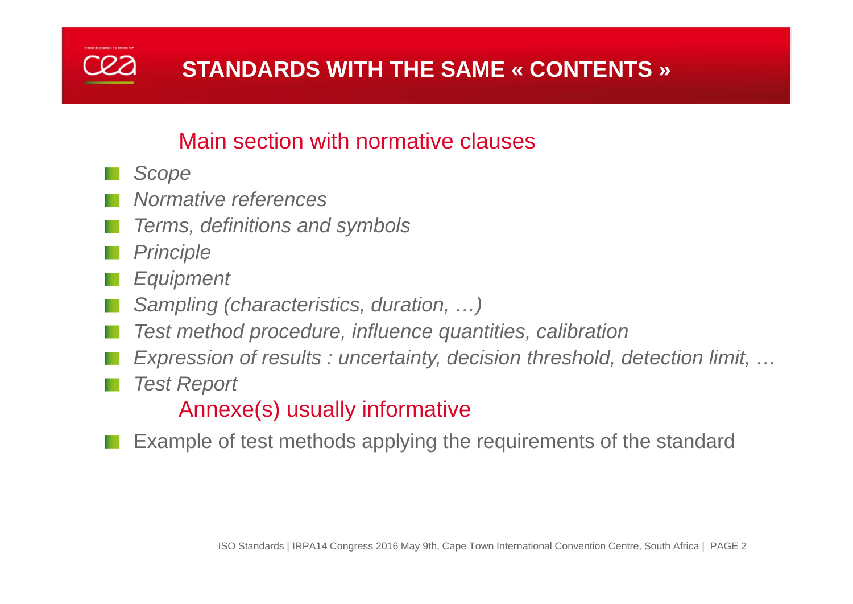

#### Main section with normative clauses

- *Scope*
- *Normative references*
- *Terms, definitions and symbols*
- *Principle*
- *Equipment*
- *Sampling (characteristics, duration, …)*
- *Test method procedure, influence quantities, calibration*
- *Expression of results : uncertainty, decision threshold, detection limit, …*
- *Test Report*

Annexe(s) usually informative

Example of test methods applying the requirements of the standard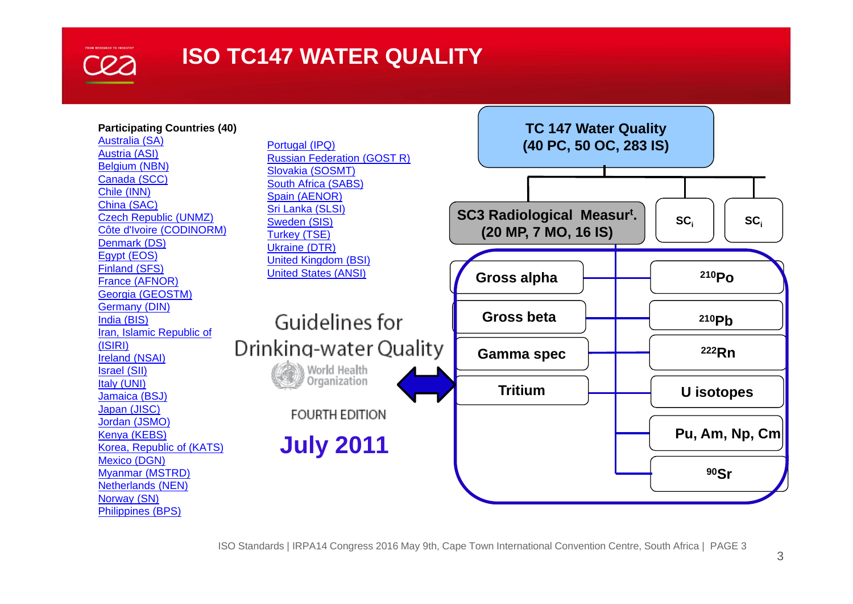

#### **ISO TC147 WATER QUALITY**

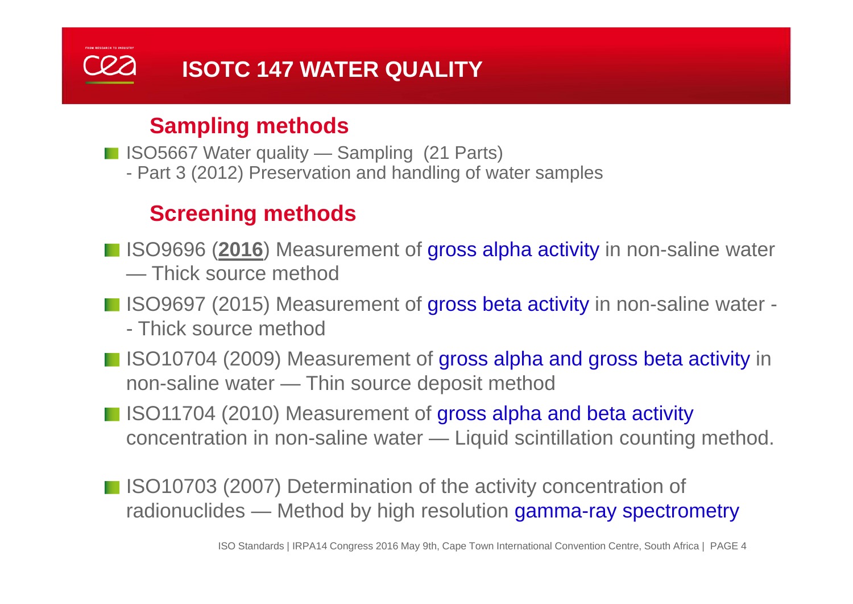### **ISOTC 147 WATER QUALITY**

#### **Sampling methods**

■ ISO5667 Water quality — Sampling (21 Parts)

- Part 3 (2012) Preservation and handling of water samples

#### **Screening methods**

- ISO9696 (2016) Measurement of gross alpha activity in non-saline water
	- Thick source method
- ISO9697 (2015) Measurement of gross beta activity in non-saline water -
	- Thick source method
- ISO10704 (2009) Measurement of gross alpha and gross beta activity in non-saline water — Thin source deposit method
- ISO11704 (2010) Measurement of gross alpha and beta activity concentration in non-saline water — Liquid scintillation counting method.
- ISO10703 (2007) Determination of the activity concentration of radionuclides — Method by high resolution gamma-ray spectrometry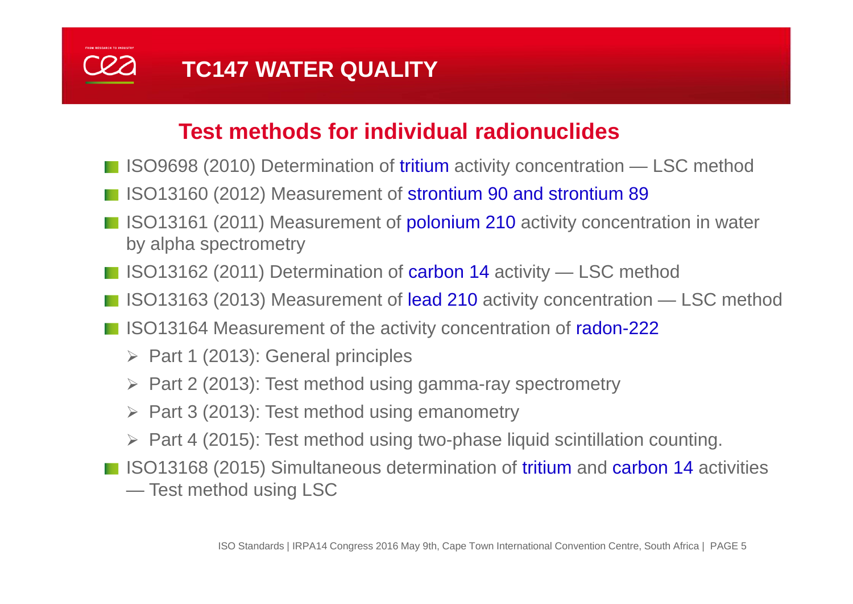

#### **Test methods for individual radionuclides**

- ISO9698 (2010) Determination of tritium activity concentration LSC method
- ISO13160 (2012) Measurement of strontium 90 and strontium 89
- ISO13161 (2011) Measurement of **polonium 210** activity concentration in water by alpha spectrometry
- ISO13162 (2011) Determination of carbon 14 activity LSC method
- ISO13163 (2013) Measurement of lead 210 activity concentration LSC method
- ISO13164 Measurement of the activity concentration of radon-222
	- $\triangleright$  Part 1 (2013): General principles
	- $\triangleright$  Part 2 (2013): Test method using gamma-ray spectrometry
	- $\triangleright$  Part 3 (2013): Test method using emanometry
	- $\triangleright$  Part 4 (2015): Test method using two-phase liquid scintillation counting.
- **ISO13168 (2015) Simultaneous determination of tritium and carbon 14 activities** — Test method using LSC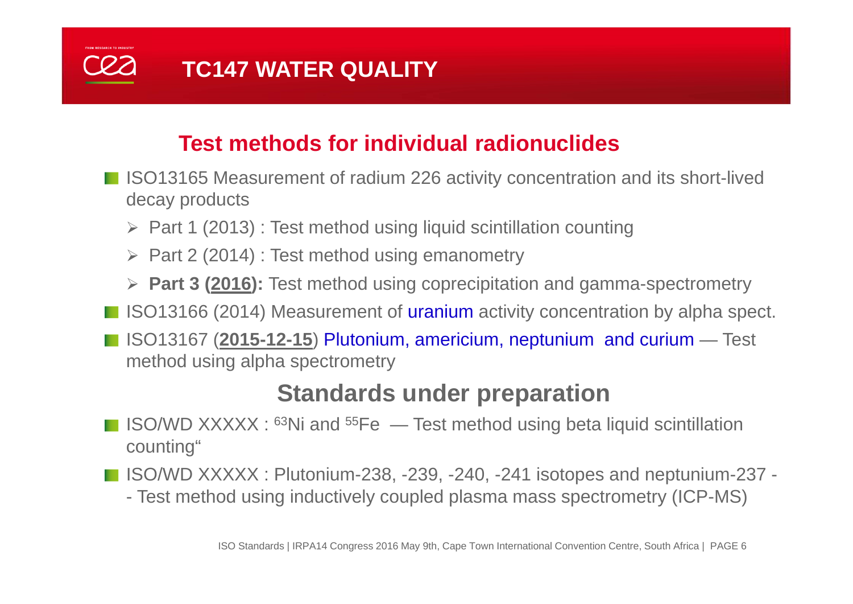

#### **Test methods for individual radionuclides**

- ISO13165 Measurement of radium 226 activity concentration and its short-lived decay products
	- ▶ Part 1 (2013) : Test method using liquid scintillation counting
	- $\triangleright$  Part 2 (2014) : Test method using emanometry
	- **Part 3 (2016):** Test method using coprecipitation and gamma-spectrometry
- ISO13166 (2014) Measurement of uranium activity concentration by alpha spect.
- ISO13167 (2015-12-15) Plutonium, americium, neptunium and curium Test method using alpha spectrometry

#### **Standards under preparation**

- **ISO/WD XXXXX**:  $63$ Ni and  $55$ Fe  $\rightarrow$  Test method using beta liquid scintillation counting"
- ISO/WD XXXXX : Plutonium-238, -239, -240, -241 isotopes and neptunium-237 -
	- Test method using inductively coupled plasma mass spectrometry (ICP-MS)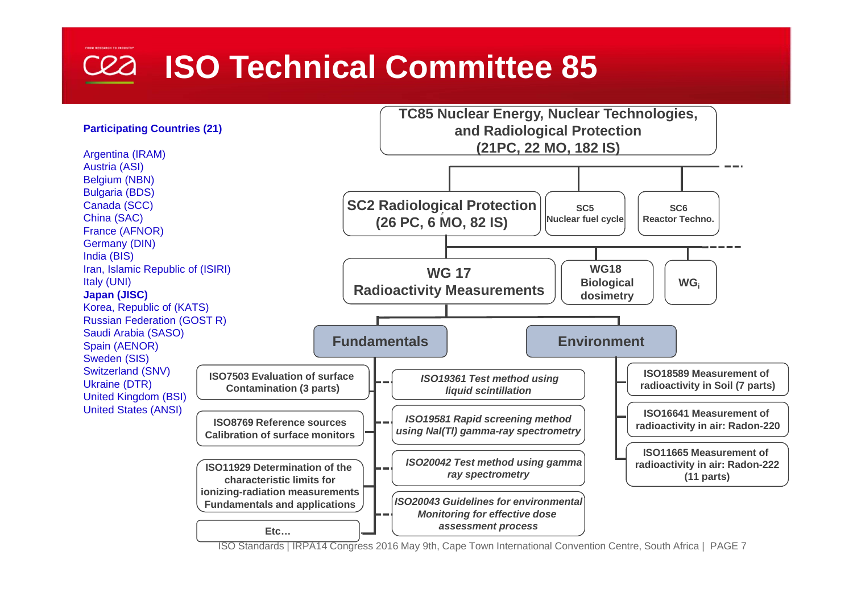### **ISO Technical Committee 85**



ISO Standards | IRPA14 Congress 2016 May 9th, Cape Town International Convention Centre, South Africa | PAGE 7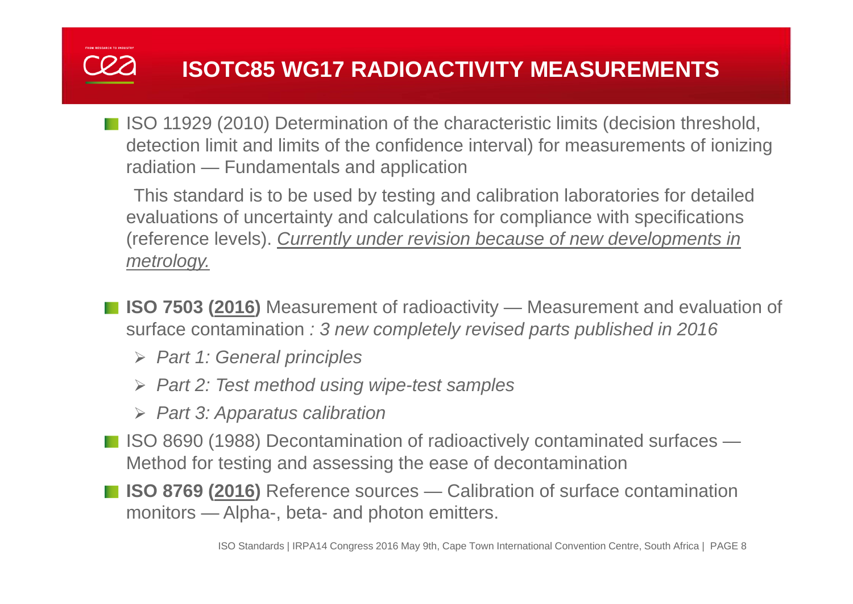■ ISO 11929 (2010) Determination of the characteristic limits (decision threshold, detection limit and limits of the confidence interval) for measurements of ionizing radiation — Fundamentals and application

This standard is to be used by testing and calibration laboratories for detailed evaluations of uncertainty and calculations for compliance with specifications (reference levels). *Currently under revision because of new developments in metrology.*

- **ISO 7503 (2016)** Measurement of radioactivity Measurement and evaluation of surface contamination *: 3 new completely revised parts published in 2016*
	- *Part 1: General principles*
	- *Part 2: Test method using wipe-test samples*
	- *Part 3: Apparatus calibration*
- ISO 8690 (1988) Decontamination of radioactively contaminated surfaces Method for testing and assessing the ease of decontamination
- **ISO 8769 (2016)** Reference sources Calibration of surface contamination monitors — Alpha-, beta- and photon emitters.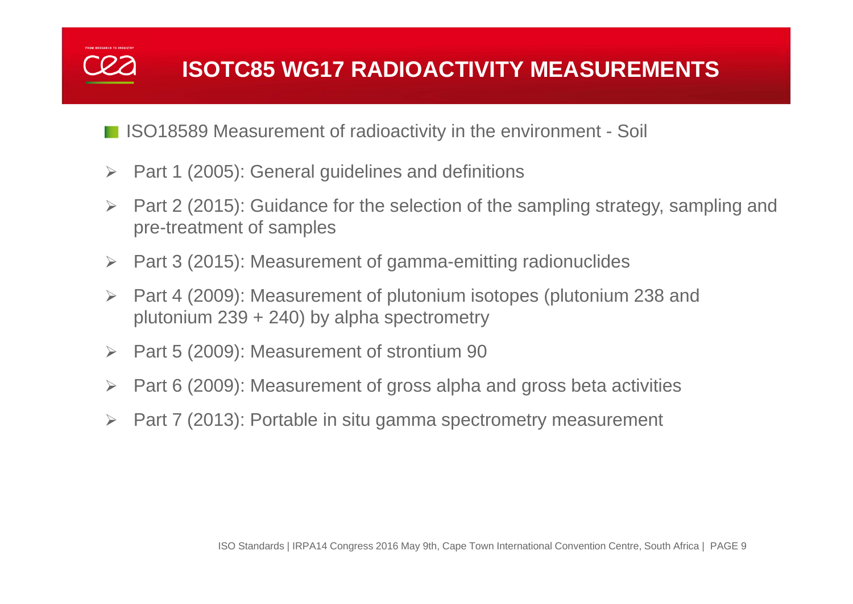- ISO18589 Measurement of radioactivity in the environment Soil
- $\triangleright$  Part 1 (2005): General guidelines and definitions
- $\blacktriangleright$  Part 2 (2015): Guidance for the selection of the sampling strategy, sampling and pre-treatment of samples
- $\blacktriangleright$ Part 3 (2015): Measurement of gamma-emitting radionuclides
- $\blacktriangleright$  Part 4 (2009): Measurement of plutonium isotopes (plutonium 238 and plutonium  $239 + 240$ ) by alpha spectrometry
- $\blacktriangleright$ Part 5 (2009): Measurement of strontium 90
- $\blacktriangleright$ Part 6 (2009): Measurement of gross alpha and gross beta activities
- $\blacktriangleright$ Part 7 (2013): Portable in situ gamma spectrometry measurement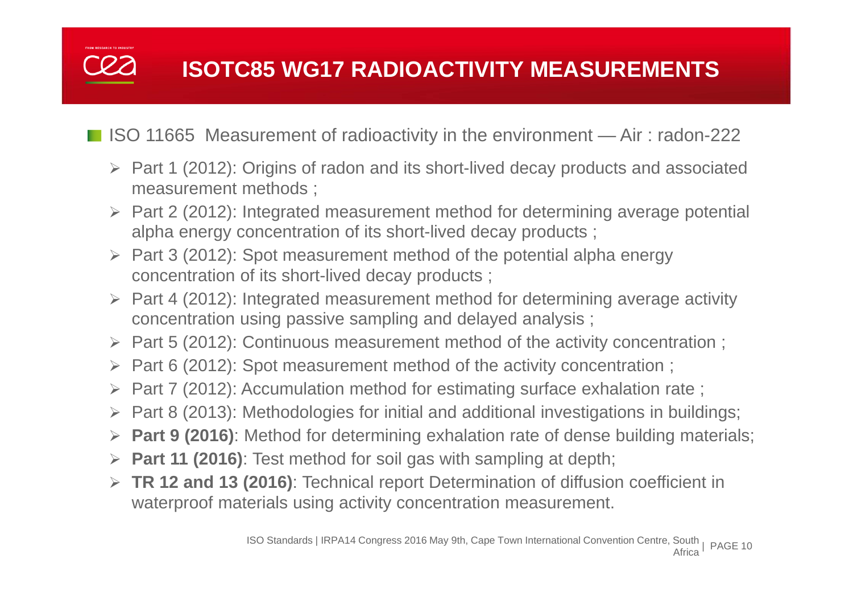■ ISO 11665 Measurement of radioactivity in the environment — Air: radon-222

- Part 1 (2012): Origins of radon and its short-lived decay products and associated measurement methods ;
- Part 2 (2012): Integrated measurement method for determining average potential alpha energy concentration of its short-lived decay products ;
- $\triangleright$  Part 3 (2012): Spot measurement method of the potential alpha energy concentration of its short-lived decay products ;
- $\triangleright$  Part 4 (2012): Integrated measurement method for determining average activity concentration using passive sampling and delayed analysis ;
- Part 5 (2012): Continuous measurement method of the activity concentration ;
- $\triangleright$  Part 6 (2012): Spot measurement method of the activity concentration;
- Part 7 (2012): Accumulation method for estimating surface exhalation rate ;
- Part 8 (2013): Methodologies for initial and additional investigations in buildings;
- **Part 9 (2016)**: Method for determining exhalation rate of dense building materials;
- **Part 11 (2016)**: Test method for soil gas with sampling at depth;
- **TR 12 and 13 (2016)**: Technical report Determination of diffusion coefficient in waterproof materials using activity concentration measurement.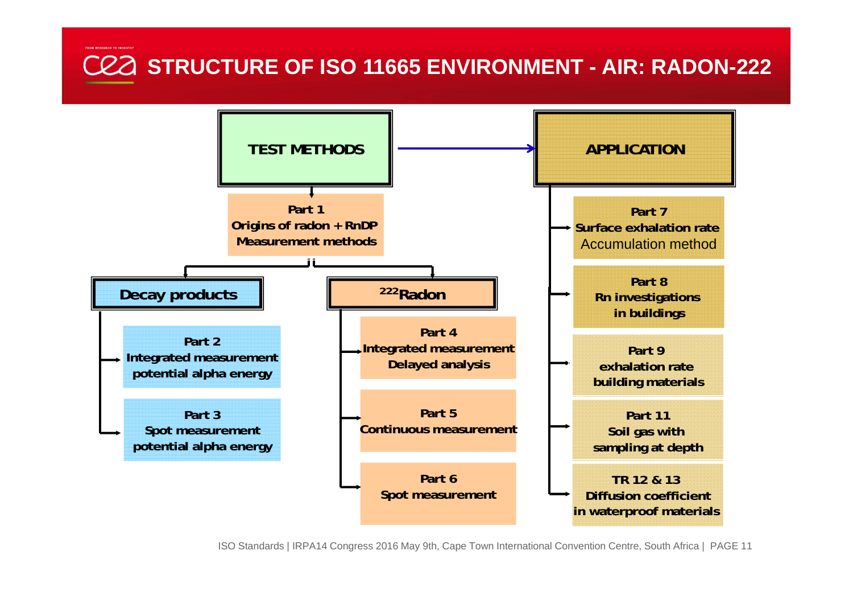#### **STRUCTURE OF ISO 11665 ENVIRONMENT - AIR: RADON-222**



ISO Standards | IRPA14 Congress 2016 May 9th, Cape Town International Convention Centre, South Africa | PAGE 11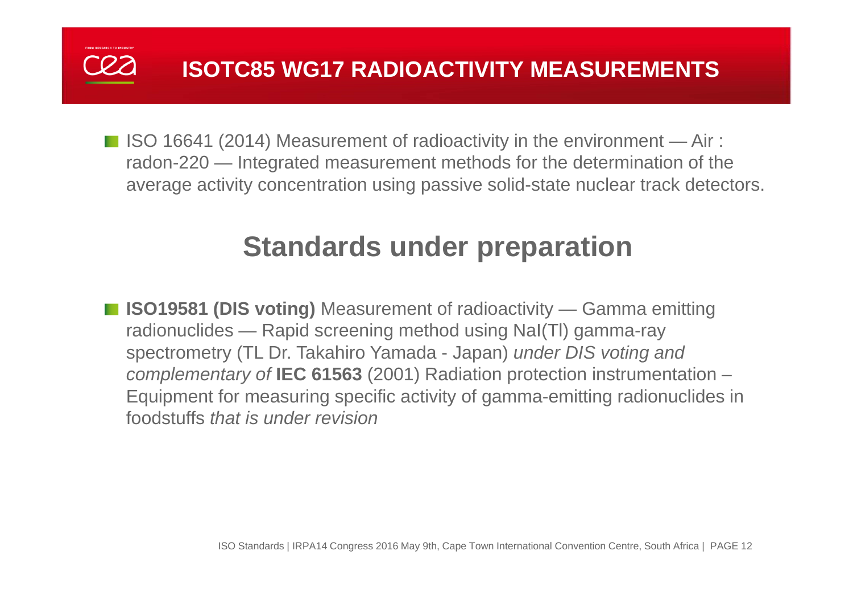

 $\blacksquare$  ISO 16641 (2014) Measurement of radioactivity in the environment  $\rightharpoonup$  Air : radon-220 — Integrated measurement methods for the determination of the average activity concentration using passive solid-state nuclear track detectors.

### **Standards under preparation**

■ **ISO19581 (DIS voting)** Measurement of radioactivity — Gamma emitting radionuclides — Rapid screening method using NaI(Tl) gamma-ray spectrometry (TL Dr. Takahiro Yamada - Japan) *under DIS voting and complementary of* **IEC 61563** (2001) Radiation protection instrumentation – Equipment for measuring specific activity of gamma-emitting radionuclides in foodstuffs *that is under revision*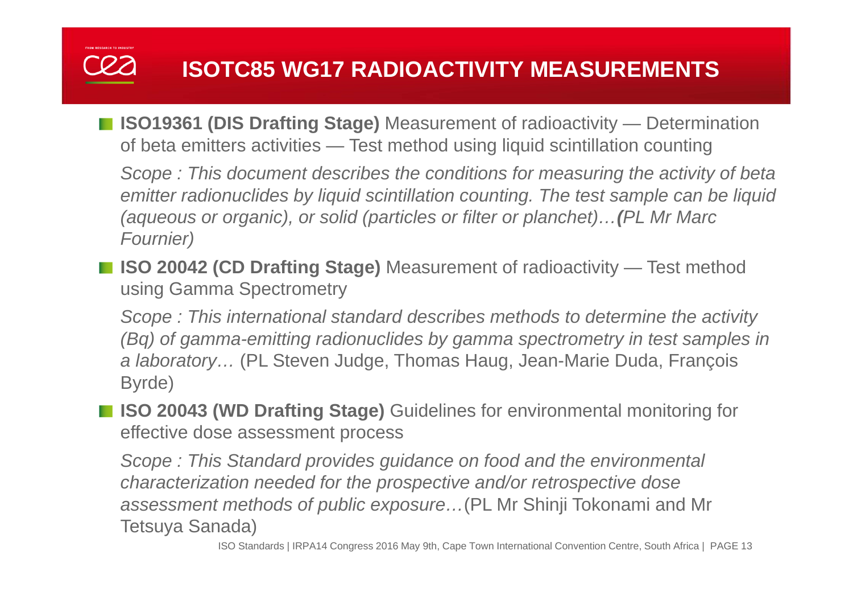■ **ISO19361 (DIS Drafting Stage)** Measurement of radioactivity — Determination of beta emitters activities — Test method using liquid scintillation counting

*Scope : This document describes the conditions for measuring the activity of beta emitter radionuclides by liquid scintillation counting. The test sample can be liquid (aqueous or organic), or solid (particles or filter or planchet)… (PL Mr Marc Fournier)*

■ **ISO 20042 (CD Drafting Stage)** Measurement of radioactivity — Test method using Gamma Spectrometry

*Scope : This international standard describes methods to determine the activity (Bq) of gamma-emitting radionuclides by gamma spectrometry in test samples in a laboratory…* (PL Steven Judge, Thomas Haug, Jean-Marie Duda, François Byrde)

**ISO 20043 (WD Drafting Stage)** Guidelines for environmental monitoring for effective dose assessment process

*Scope : This Standard provides guidance on food and the environmental characterization needed for the prospective and/or retrospective dose assessment methods of public exposure…*(PL Mr Shinji Tokonami and Mr Tetsuya Sanada)

ISO Standards | IRPA14 Congress 2016 May 9th, Cape Town International Convention Centre, South Africa | PAGE 13